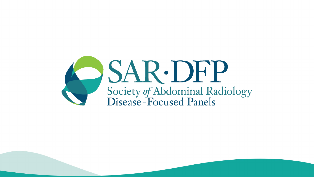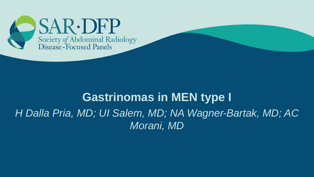

### **Gastrinomas in MEN type I**

*H Dalla Pria, MD; UI Salem, MD; NA Wagner-Bartak, MD; AC Morani, MD*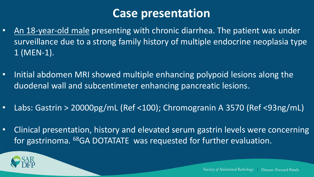# **Case presentation**

- An 18-year-old male presenting with chronic diarrhea. The patient was under surveillance due to a strong family history of multiple endocrine neoplasia type 1 (MEN-1).
- Initial abdomen MRI showed multiple enhancing polypoid lesions along the duodenal wall and subcentimeter enhancing pancreatic lesions.
- Labs: Gastrin > 20000pg/mL (Ref <100); Chromogranin A 3570 (Ref <93ng/mL)
- Clinical presentation, history and elevated serum gastrin levels were concerning for gastrinoma. <sup>68</sup>GA DOTATATE was requested for further evaluation.

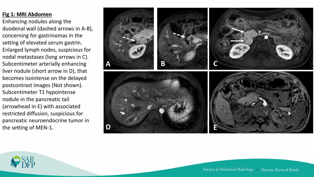#### **Fig 1: MRI Abdomen**

Enhancing nodules along the duodenal wall (dashed arrows in A -B), concerning for gastrinomas in the setting of elevated serum gastrin. Enlarged lymph nodes, suspicious for nodal metastases (long arrows in C). Subcentimeter arterially enhancing liver nodule (short arrow in D), that becomes isointense on the delayed postcontrast images (Not shown). Subcentimeter T1 hypointense nodule in the pancreatic tail (arrowhead in E) with associated restricted diffusion, suspicious for pancreatic neuroendocrine tumor in the setting of MEN -1.



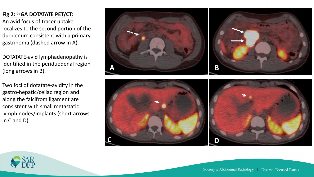### **Fig 2: <sup>68</sup>GA DOTATATE PET/CT:**

An avid focus of tracer uptake localizes to the second portion of the duodenum consistent with a primary gastrinoma (dashed arrow in A).

DOTATATE -avid lymphadenopathy is identified in the periduodenal region (long arrows in B).

Two foci of dotatate -avidity in the gastro -hepatic/celiac region and along the falcifrom ligament are consistent with small metastatic lymph nodes/implants (short arrows in C and D).





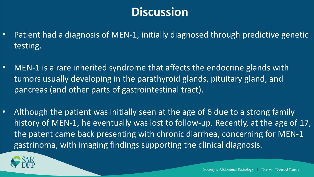# **Discussion**

- Patient had a diagnosis of MEN-1, initially diagnosed through predictive genetic testing.
- MEN-1 is a rare inherited syndrome that affects the endocrine glands with tumors usually developing in the parathyroid glands, pituitary gland, and pancreas (and other parts of gastrointestinal tract).
- Although the patient was initially seen at the age of 6 due to a strong family history of MEN-1, he eventually was lost to follow-up. Recently, at the age of 17, the patent came back presenting with chronic diarrhea, concerning for MEN-1 gastrinoma, with imaging findings supporting the clinical diagnosis.

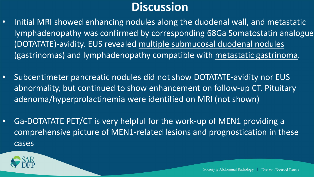# **Discussion**

- Initial MRI showed enhancing nodules along the duodenal wall, and metastatic lymphadenopathy was confirmed by corresponding 68Ga Somatostatin analogue (DOTATATE)-avidity. EUS revealed multiple submucosal duodenal nodules (gastrinomas) and lymphadenopathy compatible with metastatic gastrinoma.
- Subcentimeter pancreatic nodules did not show DOTATATE-avidity nor EUS abnormality, but continued to show enhancement on follow-up CT. Pituitary adenoma/hyperprolactinemia were identified on MRI (not shown)
- Ga-DOTATATE PET/CT is very helpful for the work-up of MEN1 providing a comprehensive picture of MEN1-related lesions and prognostication in these cases